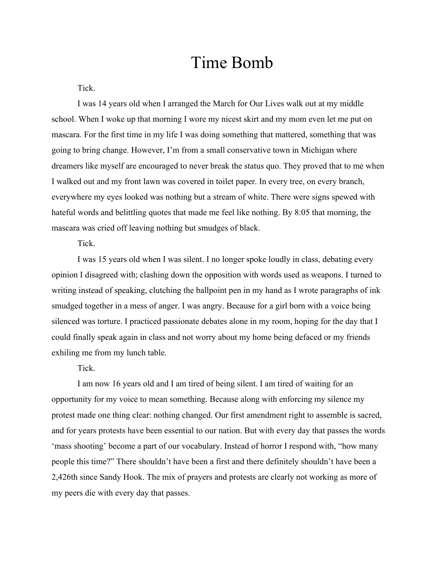## Time Bomb

Tick.

I was 14 years old when I arranged the March for Our Lives walk out at my middle school. When I woke up that morning I wore my nicest skirt and my mom even let me put on mascara. For the first time in my life I was doing something that mattered, something that was going to bring change. However, I'm from a small conservative town in Michigan where dreamers like myself are encouraged to never break the status quo. They proved that to me when I walked out and my front lawn was covered in toilet paper. In every tree, on every branch, everywhere my eyes looked was nothing but a stream of white. There were signs spewed with hateful words and belittling quotes that made me feel like nothing. By 8:05 that morning, the mascara was cried off leaving nothing but smudges of black.

## Tick.

I was 15 years old when I was silent. I no longer spoke loudly in class, debating every opinion I disagreed with; clashing down the opposition with words used as weapons. I turned to writing instead of speaking, clutching the ballpoint pen in my hand as I wrote paragraphs of ink smudged together in a mess of anger. I was angry. Because for a girl born with a voice being silenced was torture. I practiced passionate debates alone in my room, hoping for the day that I could finally speak again in class and not worry about my home being defaced or my friends exhiling me from my lunch table.

Tick.

I am now 16 years old and I am tired of being silent. I am tired of waiting for an opportunity for my voice to mean something. Because along with enforcing my silence my protest made one thing clear: nothing changed. Our first amendment right to assemble is sacred, and for years protests have been essential to our nation. But with every day that passes the words 'mass shooting' become a part of our vocabulary. Instead of horror I respond with, "how many people this time?" There shouldn't have been a first and there definitely shouldn't have been a 2,426th since Sandy Hook. The mix of prayers and protests are clearly not working as more of my peers die with every day that passes.